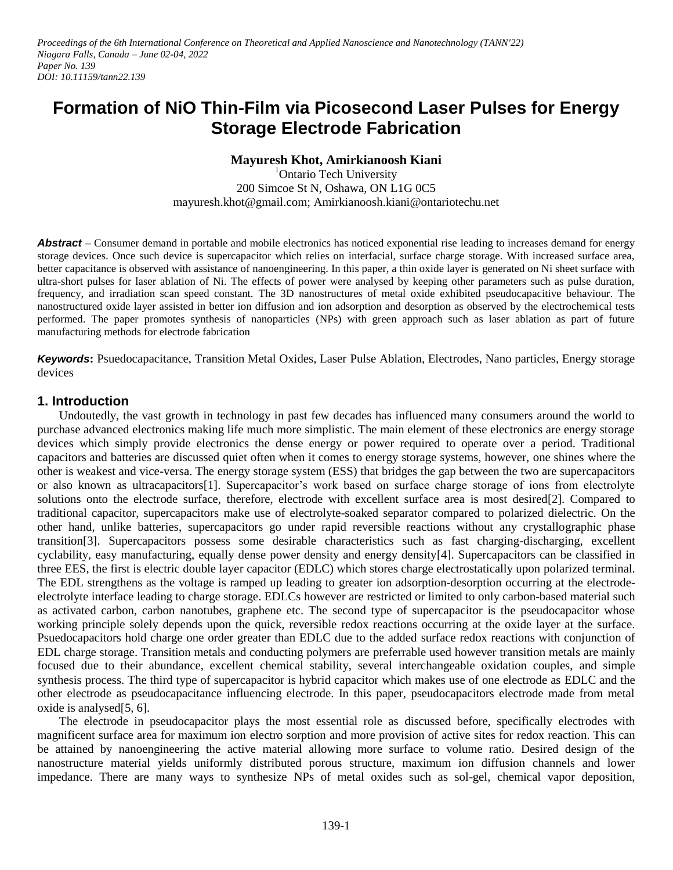# **Formation of NiO Thin-Film via Picosecond Laser Pulses for Energy Storage Electrode Fabrication**

### **Mayuresh Khot, Amirkianoosh Kiani**

<sup>1</sup>Ontario Tech University 200 Simcoe St N, Oshawa, ON L1G 0C5 mayuresh.khot@gmail.com; Amirkianoosh.kiani@ontariotechu.net

**Abstract** – Consumer demand in portable and mobile electronics has noticed exponential rise leading to increases demand for energy storage devices. Once such device is supercapacitor which relies on interfacial, surface charge storage. With increased surface area, better capacitance is observed with assistance of nanoengineering. In this paper, a thin oxide layer is generated on Ni sheet surface with ultra-short pulses for laser ablation of Ni. The effects of power were analysed by keeping other parameters such as pulse duration, frequency, and irradiation scan speed constant. The 3D nanostructures of metal oxide exhibited pseudocapacitive behaviour. The nanostructured oxide layer assisted in better ion diffusion and ion adsorption and desorption as observed by the electrochemical tests performed. The paper promotes synthesis of nanoparticles (NPs) with green approach such as laser ablation as part of future manufacturing methods for electrode fabrication

*Keywords***:** Psuedocapacitance, Transition Metal Oxides, Laser Pulse Ablation, Electrodes, Nano particles, Energy storage devices

#### **1. Introduction**

Undoutedly, the vast growth in technology in past few decades has influenced many consumers around the world to purchase advanced electronics making life much more simplistic. The main element of these electronics are energy storage devices which simply provide electronics the dense energy or power required to operate over a period. Traditional capacitors and batteries are discussed quiet often when it comes to energy storage systems, however, one shines where the other is weakest and vice-versa. The energy storage system (ESS) that bridges the gap between the two are supercapacitors or also known as ultracapacitors[1]. Supercapacitor's work based on surface charge storage of ions from electrolyte solutions onto the electrode surface, therefore, electrode with excellent surface area is most desired[2]. Compared to traditional capacitor, supercapacitors make use of electrolyte-soaked separator compared to polarized dielectric. On the other hand, unlike batteries, supercapacitors go under rapid reversible reactions without any crystallographic phase transition[3]. Supercapacitors possess some desirable characteristics such as fast charging-discharging, excellent cyclability, easy manufacturing, equally dense power density and energy density[4]. Supercapacitors can be classified in three EES, the first is electric double layer capacitor (EDLC) which stores charge electrostatically upon polarized terminal. The EDL strengthens as the voltage is ramped up leading to greater ion adsorption-desorption occurring at the electrodeelectrolyte interface leading to charge storage. EDLCs however are restricted or limited to only carbon-based material such as activated carbon, carbon nanotubes, graphene etc. The second type of supercapacitor is the pseudocapacitor whose working principle solely depends upon the quick, reversible redox reactions occurring at the oxide layer at the surface. Psuedocapacitors hold charge one order greater than EDLC due to the added surface redox reactions with conjunction of EDL charge storage. Transition metals and conducting polymers are preferrable used however transition metals are mainly focused due to their abundance, excellent chemical stability, several interchangeable oxidation couples, and simple synthesis process. The third type of supercapacitor is hybrid capacitor which makes use of one electrode as EDLC and the other electrode as pseudocapacitance influencing electrode. In this paper, pseudocapacitors electrode made from metal oxide is analysed[5, 6].

The electrode in pseudocapacitor plays the most essential role as discussed before, specifically electrodes with magnificent surface area for maximum ion electro sorption and more provision of active sites for redox reaction. This can be attained by nanoengineering the active material allowing more surface to volume ratio. Desired design of the nanostructure material yields uniformly distributed porous structure, maximum ion diffusion channels and lower impedance. There are many ways to synthesize NPs of metal oxides such as sol-gel, chemical vapor deposition,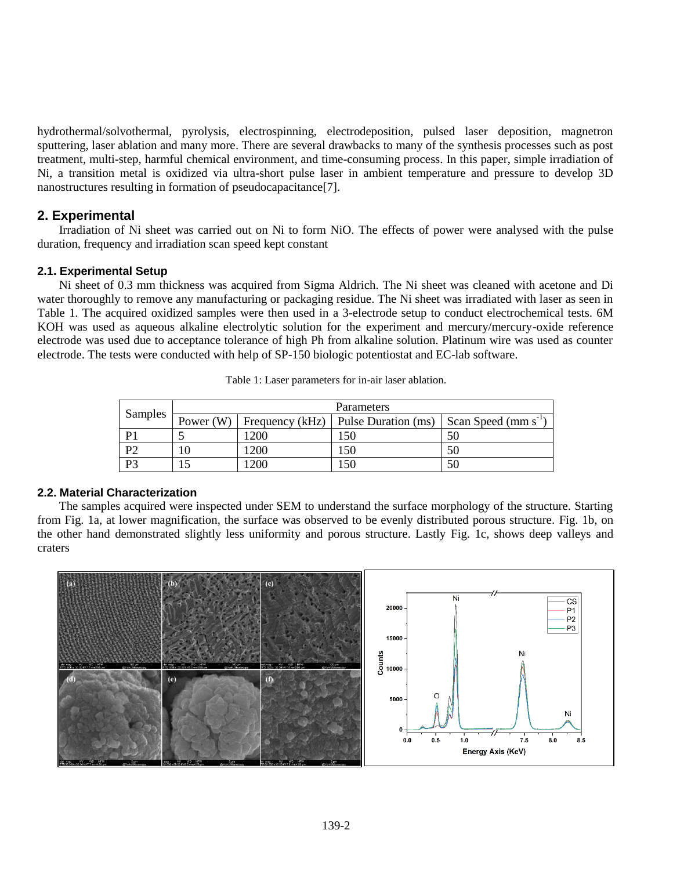hydrothermal/solvothermal, pyrolysis, electrospinning, electrodeposition, pulsed laser deposition, magnetron sputtering, laser ablation and many more. There are several drawbacks to many of the synthesis processes such as post treatment, multi-step, harmful chemical environment, and time-consuming process. In this paper, simple irradiation of Ni, a transition metal is oxidized via ultra-short pulse laser in ambient temperature and pressure to develop 3D nanostructures resulting in formation of pseudocapacitance[7].

# **2. Experimental**

Irradiation of Ni sheet was carried out on Ni to form NiO. The effects of power were analysed with the pulse duration, frequency and irradiation scan speed kept constant

## **2.1. Experimental Setup**

Ni sheet of 0.3 mm thickness was acquired from Sigma Aldrich. The Ni sheet was cleaned with acetone and Di water thoroughly to remove any manufacturing or packaging residue. The Ni sheet was irradiated with laser as seen in Table 1. The acquired oxidized samples were then used in a 3-electrode setup to conduct electrochemical tests. 6M KOH was used as aqueous alkaline electrolytic solution for the experiment and mercury/mercury-oxide reference electrode was used due to acceptance tolerance of high Ph from alkaline solution. Platinum wire was used as counter electrode. The tests were conducted with help of SP-150 biologic potentiostat and EC-lab software.

| Samples        | Parameters |            |                                                   |                           |
|----------------|------------|------------|---------------------------------------------------|---------------------------|
|                |            |            | Power (W)   Frequency (kHz)   Pulse Duration (ms) | Scan Speed (mm $s^{-1}$ ) |
|                |            | 200        | 150                                               |                           |
| D <sup>o</sup> |            | <b>200</b> | !50                                               |                           |
| D2             |            | <b>200</b> | .50                                               |                           |

Table 1: Laser parameters for in-air laser ablation.

#### **2.2. Material Characterization**

The samples acquired were inspected under SEM to understand the surface morphology of the structure. Starting from Fig. 1a, at lower magnification, the surface was observed to be evenly distributed porous structure. Fig. 1b, on the other hand demonstrated slightly less uniformity and porous structure. Lastly Fig. 1c, shows deep valleys and craters

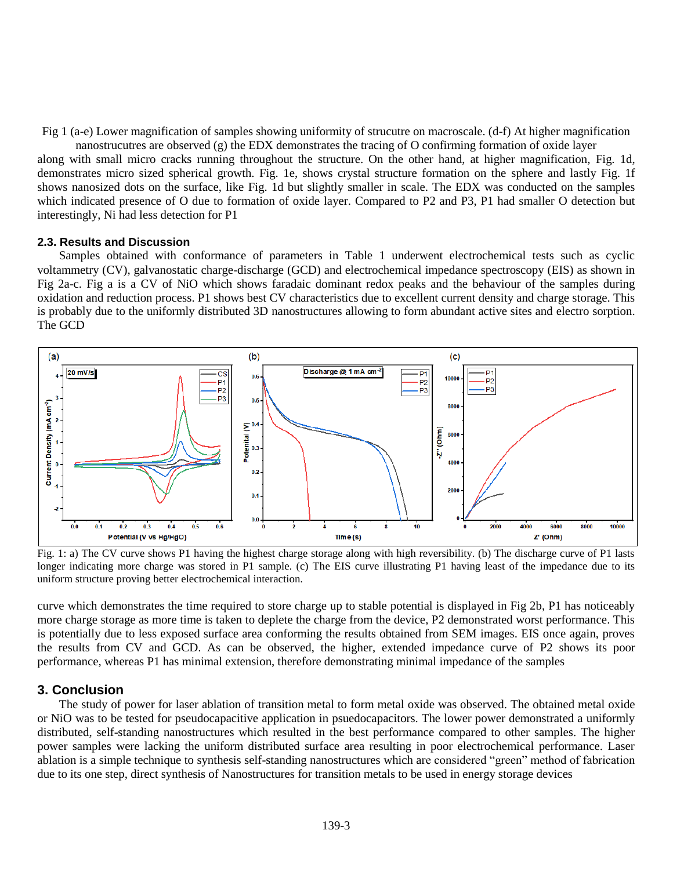Fig 1 (a-e) Lower magnification of samples showing uniformity of strucutre on macroscale. (d-f) At higher magnification

nanostrucutres are observed (g) the EDX demonstrates the tracing of O confirming formation of oxide layer along with small micro cracks running throughout the structure. On the other hand, at higher magnification, Fig. 1d, demonstrates micro sized spherical growth. Fig. 1e, shows crystal structure formation on the sphere and lastly Fig. 1f shows nanosized dots on the surface, like Fig. 1d but slightly smaller in scale. The EDX was conducted on the samples which indicated presence of O due to formation of oxide layer. Compared to P2 and P3, P1 had smaller O detection but interestingly, Ni had less detection for P1

#### **2.3. Results and Discussion**

Samples obtained with conformance of parameters in Table 1 underwent electrochemical tests such as cyclic voltammetry (CV), galvanostatic charge-discharge (GCD) and electrochemical impedance spectroscopy (EIS) as shown in Fig 2a-c. Fig a is a CV of NiO which shows faradaic dominant redox peaks and the behaviour of the samples during oxidation and reduction process. P1 shows best CV characteristics due to excellent current density and charge storage. This is probably due to the uniformly distributed 3D nanostructures allowing to form abundant active sites and electro sorption. The GCD



Fig. 1: a) The CV curve shows P1 having the highest charge storage along with high reversibility. (b) The discharge curve of P1 lasts longer indicating more charge was stored in P1 sample. (c) The EIS curve illustrating P1 having least of the impedance due to its uniform structure proving better electrochemical interaction.

curve which demonstrates the time required to store charge up to stable potential is displayed in Fig 2b, P1 has noticeably more charge storage as more time is taken to deplete the charge from the device, P2 demonstrated worst performance. This is potentially due to less exposed surface area conforming the results obtained from SEM images. EIS once again, proves the results from CV and GCD. As can be observed, the higher, extended impedance curve of P2 shows its poor performance, whereas P1 has minimal extension, therefore demonstrating minimal impedance of the samples

#### **3. Conclusion**

The study of power for laser ablation of transition metal to form metal oxide was observed. The obtained metal oxide or NiO was to be tested for pseudocapacitive application in psuedocapacitors. The lower power demonstrated a uniformly distributed, self-standing nanostructures which resulted in the best performance compared to other samples. The higher power samples were lacking the uniform distributed surface area resulting in poor electrochemical performance. Laser ablation is a simple technique to synthesis self-standing nanostructures which are considered "green" method of fabrication due to its one step, direct synthesis of Nanostructures for transition metals to be used in energy storage devices